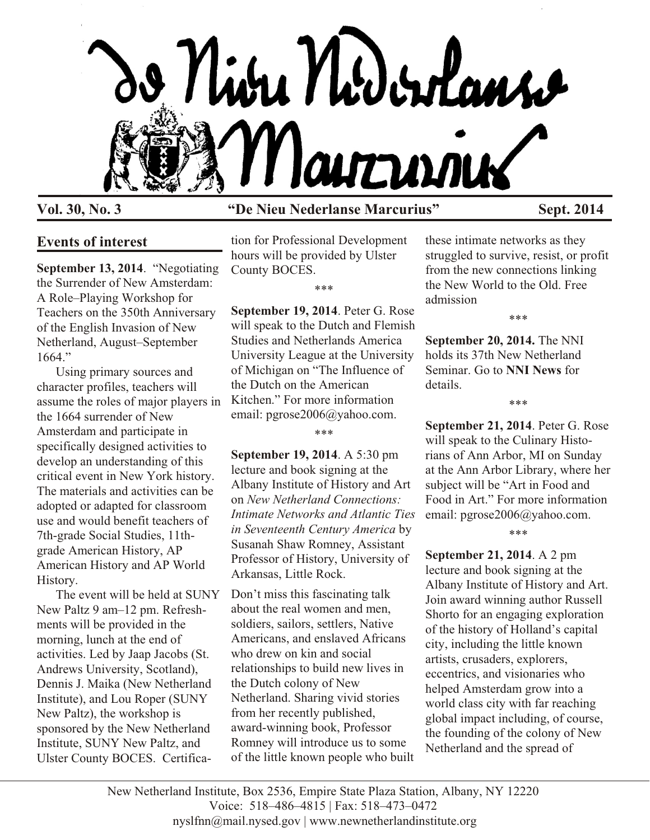

# **Vol. 30, No. 3 "De Nieu Nederlanse Marcurius" Sept. 2014**

## **Events of interest**

**September 13, 2014**. "Negotiating the Surrender of New Amsterdam: A Role–Playing Workshop for Teachers on the 350th Anniversary of the English Invasion of New Netherland, August–September 1664."

Using primary sources and character profiles, teachers will assume the roles of major players in the 1664 surrender of New Amsterdam and participate in specifically designed activities to develop an understanding of this critical event in New York history. The materials and activities can be adopted or adapted for classroom use and would benefit teachers of 7th-grade Social Studies, 11thgrade American History, AP American History and AP World History.

The event will be held at SUNY New Paltz 9 am–12 pm. Refreshments will be provided in the morning, lunch at the end of activities. Led by Jaap Jacobs (St. Andrews University, Scotland), Dennis J. Maika (New Netherland Institute), and Lou Roper (SUNY New Paltz), the workshop is sponsored by the New Netherland Institute, SUNY New Paltz, and Ulster County BOCES. Certifica-

tion for Professional Development hours will be provided by Ulster County BOCES.

\*\*\*

**September 19, 2014**. Peter G. Rose will speak to the Dutch and Flemish Studies and Netherlands America University League at the University of Michigan on "The Influence of the Dutch on the American Kitchen." For more information email: pgrose2006@yahoo.com.

#### \*\*\*

**September 19, 2014**. A 5:30 pm lecture and book signing at the Albany Institute of History and Art on *New Netherland Connections: Intimate Networks and Atlantic Ties in Seventeenth Century America* by Susanah Shaw Romney, Assistant Professor of History, University of Arkansas, Little Rock.

Don't miss this fascinating talk about the real women and men, soldiers, sailors, settlers, Native Americans, and enslaved Africans who drew on kin and social relationships to build new lives in the Dutch colony of New Netherland. Sharing vivid stories from her recently published, award-winning book, Professor Romney will introduce us to some of the little known people who built

these intimate networks as they struggled to survive, resist, or profit from the new connections linking the New World to the Old. Free admission

\*\*\*

**September 20, 2014.** The NNI holds its 37th New Netherland Seminar. Go to **NNI News** for details.

**September 21, 2014**. Peter G. Rose will speak to the Culinary Historians of Ann Arbor, MI on Sunday at the Ann Arbor Library, where her subject will be "Art in Food and Food in Art." For more information email: pgrose2006@yahoo.com.

\*\*\*

\*\*\*

**September 21, 2014**. A 2 pm lecture and book signing at the Albany Institute of History and Art. Join award winning author Russell Shorto for an engaging exploration of the history of Holland's capital city, including the little known artists, crusaders, explorers, eccentrics, and visionaries who helped Amsterdam grow into a world class city with far reaching global impact including, of course, the founding of the colony of New Netherland and the spread of

New Netherland Institute, Box 2536, Empire State Plaza Station, Albany, NY 12220 Voice: 518–486–4815 | Fax: 518–473–0472 nyslfnn@mail.nysed.gov | www.newnetherlandinstitute.org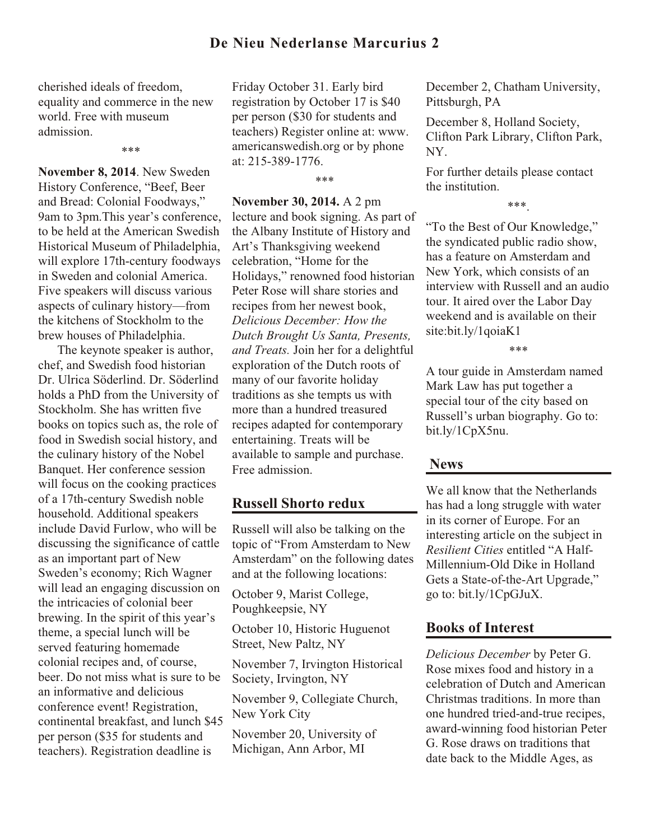## **De Nieu Nederlanse Marcurius 2**

cherished ideals of freedom, equality and commerce in the new world. Free with museum admission.

\*\*\*

**November 8, 2014**. New Sweden History Conference, "Beef, Beer and Bread: Colonial Foodways," 9am to 3pm.This year's conference, to be held at the American Swedish Historical Museum of Philadelphia, will explore 17th-century foodways in Sweden and colonial America. Five speakers will discuss various aspects of culinary history—from the kitchens of Stockholm to the brew houses of Philadelphia.

The keynote speaker is author, chef, and Swedish food historian Dr. Ulrica Söderlind. Dr. Söderlind holds a PhD from the University of Stockholm. She has written five books on topics such as, the role of food in Swedish social history, and the culinary history of the Nobel Banquet. Her conference session will focus on the cooking practices of a 17th-century Swedish noble household. Additional speakers include David Furlow, who will be discussing the significance of cattle as an important part of New Sweden's economy; Rich Wagner will lead an engaging discussion on the intricacies of colonial beer brewing. In the spirit of this year's theme, a special lunch will be served featuring homemade colonial recipes and, of course, beer. Do not miss what is sure to be an informative and delicious conference event! Registration, continental breakfast, and lunch \$45 per person (\$35 for students and teachers). Registration deadline is

Friday October 31. Early bird registration by October 17 is \$40 per person (\$30 for students and teachers) Register online at: www. americanswedish.org or by phone at: 215-389-1776.

\*\*\*

**November 30, 2014.** A 2 pm lecture and book signing. As part of the Albany Institute of History and Art's Thanksgiving weekend celebration, "Home for the Holidays," renowned food historian Peter Rose will share stories and recipes from her newest book, *Delicious December: How the Dutch Brought Us Santa, Presents, and Treats.* Join her for a delightful exploration of the Dutch roots of many of our favorite holiday traditions as she tempts us with more than a hundred treasured recipes adapted for contemporary entertaining. Treats will be available to sample and purchase. Free admission.

## **Russell Shorto redux**

Russell will also be talking on the topic of "From Amsterdam to New Amsterdam" on the following dates and at the following locations:

October 9, Marist College, Poughkeepsie, NY

October 10, Historic Huguenot Street, New Paltz, NY

November 7, Irvington Historical Society, Irvington, NY

November 9, Collegiate Church, New York City

November 20, University of Michigan, Ann Arbor, MI

December 2, Chatham University, Pittsburgh, PA

December 8, Holland Society, Clifton Park Library, Clifton Park, NY.

For further details please contact the institution.

\*\*\*.

"To the Best of Our Knowledge," the syndicated public radio show, has a feature on Amsterdam and New York, which consists of an interview with Russell and an audio tour. It aired over the Labor Day weekend and is available on their site:bit.ly/1qoiaK1

\*\*\*

A tour guide in Amsterdam named Mark Law has put together a special tour of the city based on Russell's urban biography. Go to: bit.ly/1CpX5nu.

## **News**

We all know that the Netherlands has had a long struggle with water in its corner of Europe. For an interesting article on the subject in *Resilient Cities* entitled "A Half-Millennium-Old Dike in Holland Gets a State-of-the-Art Upgrade," go to: bit.ly/1CpGJuX.

## **Books of Interest**

*Delicious December* by Peter G. Rose mixes food and history in a celebration of Dutch and American Christmas traditions. In more than one hundred tried-and-true recipes, award-winning food historian Peter G. Rose draws on traditions that date back to the Middle Ages, as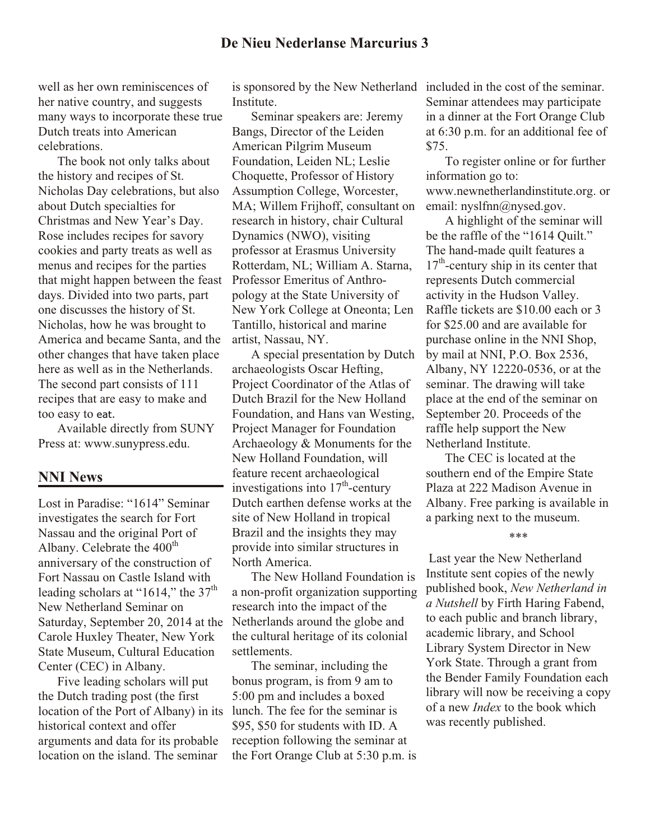## **De Nieu Nederlanse Marcurius 3**

well as her own reminiscences of her native country, and suggests many ways to incorporate these true Dutch treats into American celebrations.

The book not only talks about the history and recipes of St. Nicholas Day celebrations, but also about Dutch specialties for Christmas and New Year's Day. Rose includes recipes for savory cookies and party treats as well as menus and recipes for the parties that might happen between the feast days. Divided into two parts, part one discusses the history of St. Nicholas, how he was brought to America and became Santa, and the other changes that have taken place here as well as in the Netherlands. The second part consists of 111 recipes that are easy to make and too easy to eat.

Available directly from SUNY Press at: www.sunypress.edu.

#### **NNI News**

Lost in Paradise: "1614" Seminar investigates the search for Fort Nassau and the original Port of Albany. Celebrate the 400<sup>th</sup> anniversary of the construction of Fort Nassau on Castle Island with leading scholars at "1614," the  $37<sup>th</sup>$ New Netherland Seminar on Saturday, September 20, 2014 at the Carole Huxley Theater, New York State Museum, Cultural Education Center (CEC) in Albany.

Five leading scholars will put the Dutch trading post (the first location of the Port of Albany) in its historical context and offer arguments and data for its probable location on the island. The seminar

**Institute** 

Seminar speakers are: Jeremy Bangs, Director of the Leiden American Pilgrim Museum Foundation, Leiden NL; Leslie Choquette, Professor of History Assumption College, Worcester, MA; Willem Frijhoff, consultant on research in history, chair Cultural Dynamics (NWO), visiting professor at Erasmus University Rotterdam, NL; William A. Starna, Professor Emeritus of Anthropology at the State University of New York College at Oneonta; Len Tantillo, historical and marine artist, Nassau, NY.

A special presentation by Dutch archaeologists Oscar Hefting, Project Coordinator of the Atlas of Dutch Brazil for the New Holland Foundation, and Hans van Westing, Project Manager for Foundation Archaeology & Monuments for the New Holland Foundation, will feature recent archaeological investigations into  $17<sup>th</sup>$ -century Dutch earthen defense works at the site of New Holland in tropical Brazil and the insights they may provide into similar structures in North America.

The New Holland Foundation is a non-profit organization supporting research into the impact of the Netherlands around the globe and the cultural heritage of its colonial settlements.

The seminar, including the bonus program, is from 9 am to 5:00 pm and includes a boxed lunch. The fee for the seminar is \$95, \$50 for students with ID. A reception following the seminar at the Fort Orange Club at 5:30 p.m. is

is sponsored by the New Netherland included in the cost of the seminar. Seminar attendees may participate in a dinner at the Fort Orange Club at 6:30 p.m. for an additional fee of \$75.

> To register online or for further information go to: www.newnetherlandinstitute.org. or email: nyslfnn@nysed.gov.

A highlight of the seminar will be the raffle of the "1614 Quilt." The hand-made quilt features a  $17<sup>th</sup>$ -century ship in its center that represents Dutch commercial activity in the Hudson Valley. Raffle tickets are \$10.00 each or 3 for \$25.00 and are available for purchase online in the NNI Shop, by mail at NNI, P.O. Box 2536, Albany, NY 12220-0536, or at the seminar. The drawing will take place at the end of the seminar on September 20. Proceeds of the raffle help support the New Netherland Institute.

The CEC is located at the southern end of the Empire State Plaza at 222 Madison Avenue in Albany. Free parking is available in a parking next to the museum.

\*\*\*

Last year the New Netherland Institute sent copies of the newly published book, *New Netherland in a Nutshell* by Firth Haring Fabend, to each public and branch library, academic library, and School Library System Director in New York State. Through a grant from the Bender Family Foundation each library will now be receiving a copy of a new *Index* to the book which was recently published.